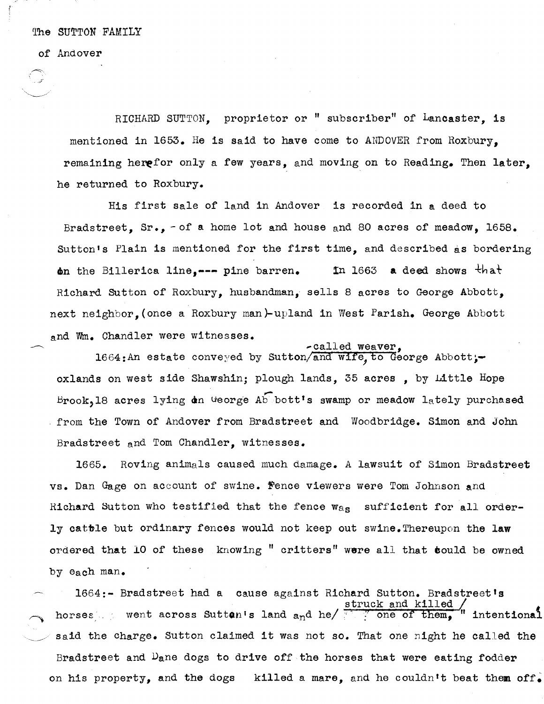## of Andover

RICHARD SUTTON, proprietor or " subscriber" of Lancaster, is mentioned in 1653. He is said to have come to ANDOVER from Roxbury, remaining herefor only a few years, and moving on to Reading. Then later, he returned to Roxbury.

His first sale of land in Andover is recorded in a deed to Bradstreet, Sr., - of a home lot and house and 80 acres of meadow, 1658. Sutton's Plain is mentioned for the first time, and described as bordering on the Billerica line, $---$  pine barren. In 1663 a deed shows that Richard Sutton of Roxbury, husbandman, sells 8 acres to George Abbott, next neighbor, (once a Roxbury man)-upland in West Parish. George Abbott and Wm. Chandler were witnesses.<br>-called weaver,

 $1664$ : An estate conveyed by Sutton/and wife, to George Abbott;oxlands on west side Shawshin; plough lands, 35 acres , by Little Hope Brook,18 acres lying  $dn$  George Ab bott's swamp or meadow lately purchased from the Town of Andover from Bradstreet and Woodbridge. Simon and John Bradstreet and Tom Chandler, witnesses.

1665. Roving animals caused much damage. A lawsuit of Simon Bradstreet vs. Dan Gage on account of swine. Fence viewers were Tom Johnson and Richard Sutton who testified that the fence  $w_{\alpha_S}$  sufficient for all orderly catble but ordinary fences would not keep out swine. Thereupon the law ordered that 10 of these knowing " critters" were all that could be owned by each man.

1664:- Bradstreet had a Cause against Richard Sutton. Bradstreet's struck and killed / horses went across Sutton's land  $a_n$ d he/ $\frac{s}{}$  one of them,  $\frac{1}{n}$  intentional said the charge. Sutton claimed it was not so. That one night he called the Bradstreet and  $D_{\text{a}}$ ne dogs to drive off the horses that were eating fodder on his property, and the dogs a killed a mare, and he couldn't beat them off.